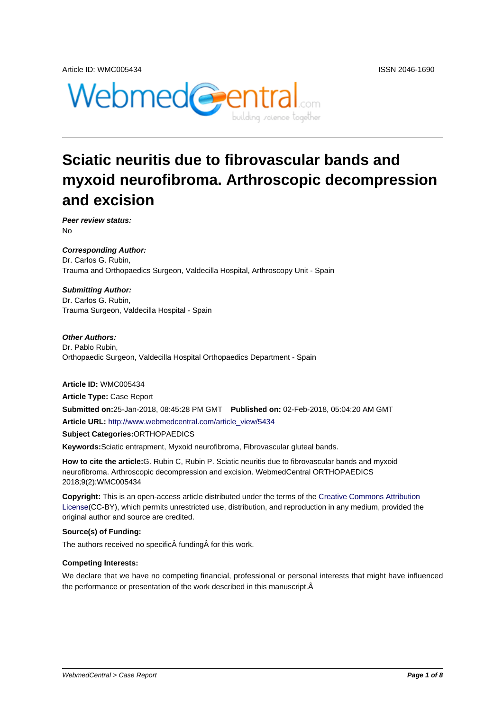

# **Sciatic neuritis due to fibrovascular bands and myxoid neurofibroma. Arthroscopic decompression and excision**

**Peer review status:** No

**Corresponding Author:** Dr. Carlos G. Rubin, Trauma and Orthopaedics Surgeon, Valdecilla Hospital, Arthroscopy Unit - Spain

#### **Submitting Author:**

Dr. Carlos G. Rubin, Trauma Surgeon, Valdecilla Hospital - Spain

#### **Other Authors:**

Dr. Pablo Rubin, Orthopaedic Surgeon, Valdecilla Hospital Orthopaedics Department - Spain

**Article ID:** WMC005434 **Article Type:** Case Report **Submitted on:**25-Jan-2018, 08:45:28 PM GMT **Published on:** 02-Feb-2018, 05:04:20 AM GMT **Article URL:** http://www.webmedcentral.com/article\_view/5434 **Subject Categories:**ORTHOPAEDICS **Keywords:**Sciatic entrapment, Myxoid neurofibroma, Fibrovascular gluteal bands.

**How to cite the article:**[G. Rubin C, Rubin P. Sciatic neuritis du](http://www.webmedcentral.com/article_view/5434)e to fibrovascular bands and myxoid neurofibroma. Arthroscopic decompression and excision. WebmedCentral ORTHOPAEDICS 2018;9(2):WMC005434

**Copyright:** This is an open-access article distributed under the terms of the Creative Commons Attribution License(CC-BY), which permits unrestricted use, distribution, and reproduction in any medium, provided the original author and source are credited.

#### **Source(s) of Funding:**

[The auth](http://creativecommons.org/licenses/by/3.0/)ors received no specific funding for this work.

#### **Competing Interests:**

We declare that we have no competing financial, professional or personal interests that might have influenced the performance or presentation of the work described in this manuscript.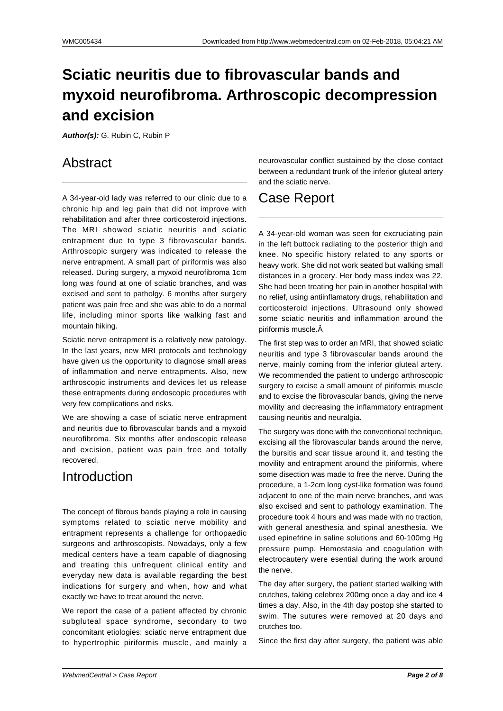# **Sciatic neuritis due to fibrovascular bands and myxoid neurofibroma. Arthroscopic decompression and excision**

**Author(s):** G. Rubin C, Rubin P

### Abstract

A 34-year-old lady was referred to our clinic due to a chronic hip and leg pain that did not improve with rehabilitation and after three corticosteroid injections. The MRI showed sciatic neuritis and sciatic entrapment due to type 3 fibrovascular bands. Arthroscopic surgery was indicated to release the nerve entrapment. A small part of piriformis was also released. During surgery, a myxoid neurofibroma 1cm long was found at one of sciatic branches, and was excised and sent to patholgy. 6 months after surgery patient was pain free and she was able to do a normal life, including minor sports like walking fast and mountain hiking.

Sciatic nerve entrapment is a relatively new patology. In the last years, new MRI protocols and technology have given us the opportunity to diagnose small areas of inflammation and nerve entrapments. Also, new arthroscopic instruments and devices let us release these entrapments during endoscopic procedures with very few complications and risks.

We are showing a case of sciatic nerve entrapment and neuritis due to fibrovascular bands and a myxoid neurofibroma. Six months after endoscopic release and excision, patient was pain free and totally recovered.

#### Introduction

The concept of fibrous bands playing a role in causing symptoms related to sciatic nerve mobility and entrapment represents a challenge for orthopaedic surgeons and arthroscopists. Nowadays, only a few medical centers have a team capable of diagnosing and treating this unfrequent clinical entity and everyday new data is available regarding the best indications for surgery and when, how and what exactly we have to treat around the nerve.

We report the case of a patient affected by chronic subgluteal space syndrome, secondary to two concomitant etiologies: sciatic nerve entrapment due to hypertrophic piriformis muscle, and mainly a neurovascular conflict sustained by the close contact between a redundant trunk of the inferior gluteal artery and the sciatic nerve.

### Case Report

A 34-year-old woman was seen for excruciating pain in the left buttock radiating to the posterior thigh and knee. No specific history related to any sports or heavy work. She did not work seated but walking small distances in a grocery. Her body mass index was 22. She had been treating her pain in another hospital with no relief, using antiinflamatory drugs, rehabilitation and corticosteroid injections. Ultrasound only showed some sciatic neuritis and inflammation around the piriformis muscle.

The first step was to order an MRI, that showed sciatic neuritis and type 3 fibrovascular bands around the nerve, mainly coming from the inferior gluteal artery. We recommended the patient to undergo arthroscopic surgery to excise a small amount of piriformis muscle and to excise the fibrovascular bands, giving the nerve movility and decreasing the inflammatory entrapment causing neuritis and neuralgia.

The surgery was done with the conventional technique, excising all the fibrovascular bands around the nerve, the bursitis and scar tissue around it, and testing the movility and entrapment around the piriformis, where some disection was made to free the nerve. During the procedure, a 1-2cm long cyst-like formation was found adjacent to one of the main nerve branches, and was also excised and sent to pathology examination. The procedure took 4 hours and was made with no traction, with general anesthesia and spinal anesthesia. We used epinefrine in saline solutions and 60-100mg Hg pressure pump. Hemostasia and coagulation with electrocautery were esential during the work around the nerve.

The day after surgery, the patient started walking with crutches, taking celebrex 200mg once a day and ice 4 times a day. Also, in the 4th day postop she started to swim. The sutures were removed at 20 days and crutches too.

Since the first day after surgery, the patient was able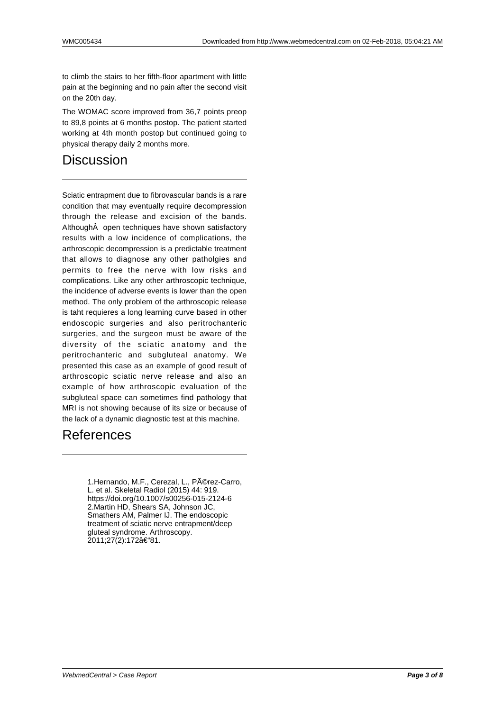to climb the stairs to her fifth-floor apartment with little pain at the beginning and no pain after the second visit on the 20th day.

The WOMAC score improved from 36,7 points preop to 89,8 points at 6 months postop. The patient started working at 4th month postop but continued going to physical therapy daily 2 months more.

### **Discussion**

Sciatic entrapment due to fibrovascular bands is a rare condition that may eventually require decompression through the release and excision of the bands. Although open techniques have shown satisfactory results with a low incidence of complications, the arthroscopic decompression is a predictable treatment that allows to diagnose any other patholgies and permits to free the nerve with low risks and complications. Like any other arthroscopic technique, the incidence of adverse events is lower than the open method. The only problem of the arthroscopic release is taht requieres a long learning curve based in other endoscopic surgeries and also peritrochanteric surgeries, and the surgeon must be aware of the diversity of the sciatic anatomy and the peritrochanteric and subgluteal anatomy. We presented this case as an example of good result of arthroscopic sciatic nerve release and also an example of how arthroscopic evaluation of the subgluteal space can sometimes find pathology that MRI is not showing because of its size or because of the lack of a dynamic diagnostic test at this machine.

#### References

1.Hernando, M.F., Cerezal, L., Pérez-Carro, L. et al. Skeletal Radiol (2015) 44: 919. https://doi.org/10.1007/s00256-015-2124-6 2.Martin HD, Shears SA, Johnson JC, Smathers AM, Palmer IJ. The endoscopic treatment of sciatic nerve entrapment/deep gluteal syndrome. Arthroscopy. 2011;27(2):172–81.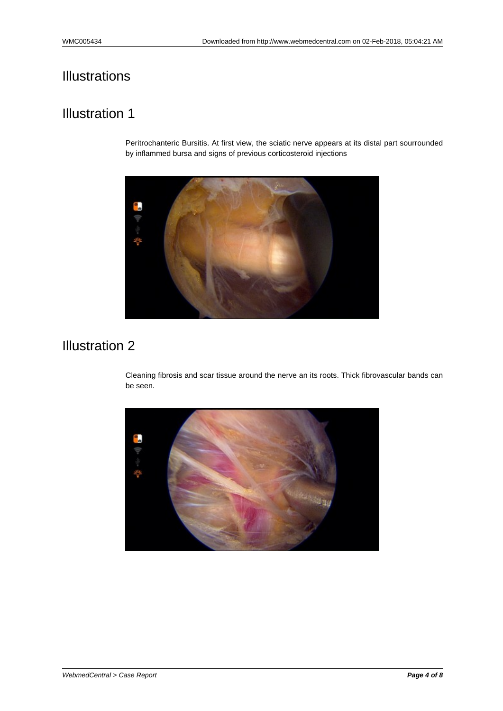### Illustration 1

Peritrochanteric Bursitis. At first view, the sciatic nerve appears at its distal part sourrounded by inflammed bursa and signs of previous corticosteroid injections



# Illustration 2

Cleaning fibrosis and scar tissue around the nerve an its roots. Thick fibrovascular bands can be seen.

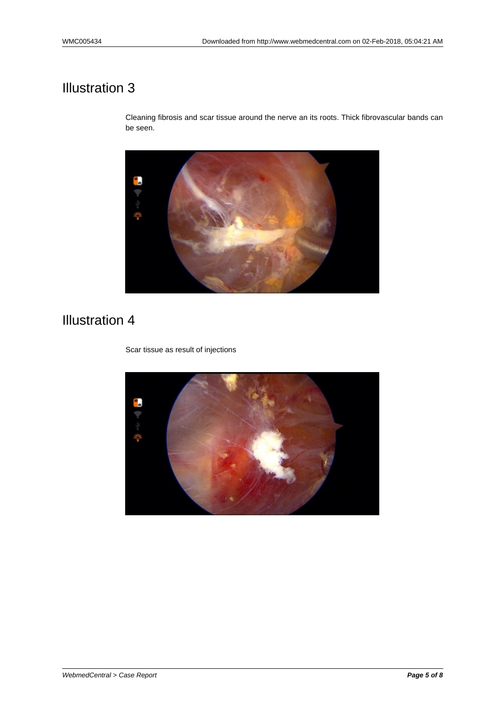Cleaning fibrosis and scar tissue around the nerve an its roots. Thick fibrovascular bands can be seen.



### Illustration 4

Scar tissue as result of injections

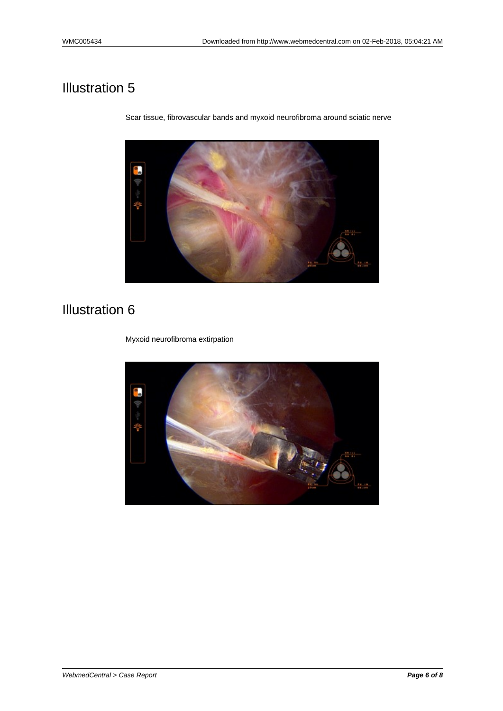Illustration 6

Myxoid neurofibroma extirpation



Scar tissue, fibrovascular bands and myxoid neurofibroma around sciatic nerve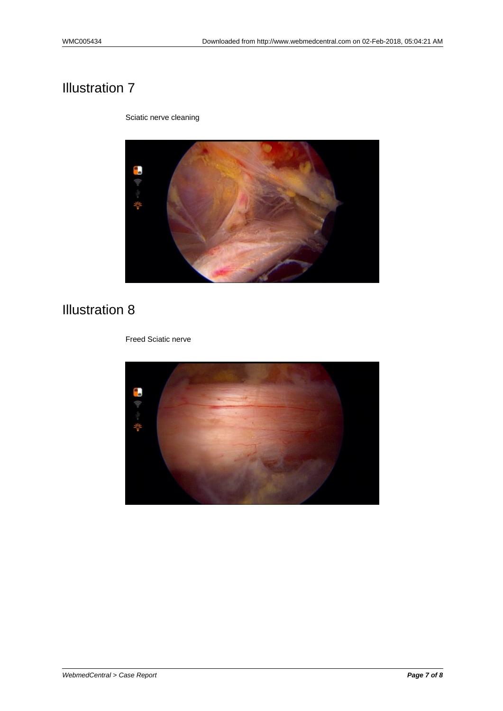Sciatic nerve cleaning



# Illustration 8

Freed Sciatic nerve